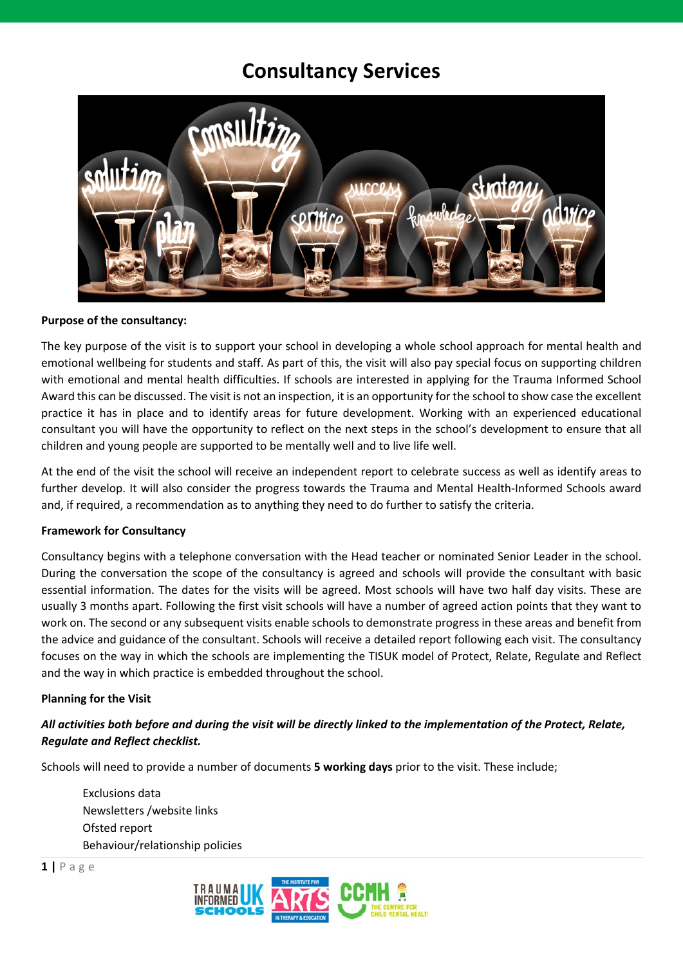# **Consultancy Services**



#### **Purpose of the consultancy:**

The key purpose of the visit is to support your school in developing a whole school approach for mental health and emotional wellbeing for students and staff. As part of this, the visit will also pay special focus on supporting children with emotional and mental health difficulties. If schools are interested in applying for the Trauma Informed School Award this can be discussed. The visit is not an inspection, it is an opportunity for the school to show case the excellent practice it has in place and to identify areas for future development. Working with an experienced educational consultant you will have the opportunity to reflect on the next steps in the school's development to ensure that all children and young people are supported to be mentally well and to live life well.

At the end of the visit the school will receive an independent report to celebrate success as well as identify areas to further develop. It will also consider the progress towards the Trauma and Mental Health-Informed Schools award and, if required, a recommendation as to anything they need to do further to satisfy the criteria.

#### **Framework for Consultancy**

Consultancy begins with a telephone conversation with the Head teacher or nominated Senior Leader in the school. During the conversation the scope of the consultancy is agreed and schools will provide the consultant with basic essential information. The dates for the visits will be agreed. Most schools will have two half day visits. These are usually 3 months apart. Following the first visit schools will have a number of agreed action points that they want to work on. The second or any subsequent visits enable schools to demonstrate progress in these areas and benefit from the advice and guidance of the consultant. Schools will receive a detailed report following each visit. The consultancy focuses on the way in which the schools are implementing the TISUK model of Protect, Relate, Regulate and Reflect and the way in which practice is embedded throughout the school.

#### **Planning for the Visit**

## *All activities both before and during the visit will be directly linked to the implementation of the Protect, Relate, Regulate and Reflect checklist.*

Schools will need to provide a number of documents **5 working days** prior to the visit. These include;

 Exclusions data Newsletters /website links Ofsted report Behaviour/relationship policies